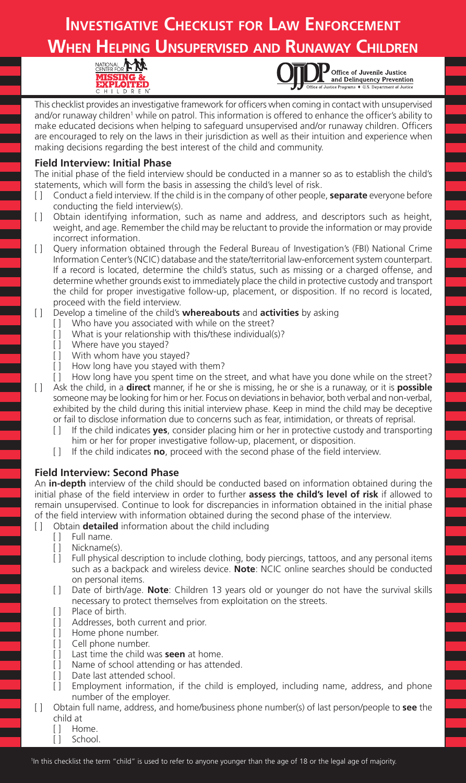## **Investigative Checklist for Law Enforcement When Helping Unsupervised and Runaway Children**





Office of Juvenile Justice and Delinquency Prevention

This checklist provides an investigative framework for officers when coming in contact with unsupervised and/or runaway children<sup>1</sup> while on patrol. This information is offered to enhance the officer's ability to make educated decisions when helping to safeguard unsupervised and/or runaway children. Officers are encouraged to rely on the laws in their jurisdiction as well as their intuition and experience when making decisions regarding the best interest of the child and community.

## **Field Interview: Initial Phase**

The initial phase of the field interview should be conducted in a manner so as to establish the child's statements, which will form the basis in assessing the child's level of risk.

- [ ] Conduct a field interview. If the child is in the company of other people, **separate** everyone before conducting the field interview(s).
- [1] Obtain identifying information, such as name and address, and descriptors such as height, weight, and age. Remember the child may be reluctant to provide the information or may provide incorrect information.
- [ ] Query information obtained through the Federal Bureau of Investigation's (FBI) National Crime Information Center's (NCIC) database and the state/territorial law-enforcement system counterpart. If a record is located, determine the child's status, such as missing or a charged offense, and determine whether grounds exist to immediately place the child in protective custody and transport the child for proper investigative follow-up, placement, or disposition. If no record is located, proceed with the field interview.
- [ ] Develop a timeline of the child's **whereabouts** and **activities** by asking
	- Who have you associated with while on the street?
	- [ ] What is your relationship with this/these individual(s)?
	- [ ] Where have you stayed?
	- [ ] With whom have you stayed?
	- [ ] How long have you stayed with them?
- [ ] How long have you spent time on the street, and what have you done while on the street? [ ] Ask the child, in a **direct** manner, if he or she is missing, he or she is a runaway, or it is **possible**  someone may be looking for him or her. Focus on deviations in behavior, both verbal and non-verbal, exhibited by the child during this initial interview phase. Keep in mind the child may be deceptive or fail to disclose information due to concerns such as fear, intimidation, or threats of reprisal.
	- [ ] If the child indicates **yes**, consider placing him or her in protective custody and transporting him or her for proper investigative follow-up, placement, or disposition.
	- [ ] If the child indicates **no**, proceed with the second phase of the field interview.

## **Field Interview: Second Phase**

An **in-depth** interview of the child should be conducted based on information obtained during the initial phase of the field interview in order to further **assess the child's level of risk** if allowed to remain unsupervised. Continue to look for discrepancies in information obtained in the initial phase of the field interview with information obtained during the second phase of the interview.

[ ] Obtain **detailed** information about the child including

- [ ] Full name.
- [ ] Nickname(s).
- [ ] Full physical description to include clothing, body piercings, tattoos, and any personal items such as a backpack and wireless device. **Note**: NCIC online searches should be conducted on personal items.
- [ ] Date of birth/age. **Note**: Children 13 years old or younger do not have the survival skills necessary to protect themselves from exploitation on the streets.
- [ ] Place of birth.
- [ ] Addresses, both current and prior.
- [ ] Home phone number.
- [ ] Cell phone number.
- [ ] Last time the child was **seen** at home.
- [ ] Name of school attending or has attended.
- [ ] Date last attended school.
- [ ] Employment information, if the child is employed, including name, address, and phone number of the employer.
- [ ] Obtain full name, address, and home/business phone number(s) of last person/people to **see** the child at
	- [ ] Home.
	- [ ] School